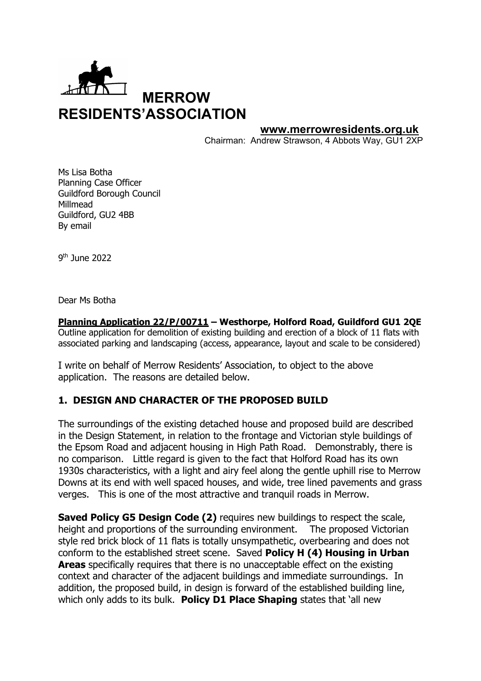

#### **www.merrowresidents.org.uk**

Chairman: Andrew Strawson, 4 Abbots Way, GU1 2XP

Ms Lisa Botha Planning Case Officer Guildford Borough Council Millmead Guildford, GU2 4BB By email

9th June 2022

Dear Ms Botha

**Planning Application 22/P/00711 – Westhorpe, Holford Road, Guildford GU1 2QE** Outline application for demolition of existing building and erection of a block of 11 flats with associated parking and landscaping (access, appearance, layout and scale to be considered)

I write on behalf of Merrow Residents' Association, to object to the above application. The reasons are detailed below.

### **1. DESIGN AND CHARACTER OF THE PROPOSED BUILD**

The surroundings of the existing detached house and proposed build are described in the Design Statement, in relation to the frontage and Victorian style buildings of the Epsom Road and adjacent housing in High Path Road. Demonstrably, there is no comparison. Little regard is given to the fact that Holford Road has its own 1930s characteristics, with a light and airy feel along the gentle uphill rise to Merrow Downs at its end with well spaced houses, and wide, tree lined pavements and grass verges. This is one of the most attractive and tranquil roads in Merrow.

**Saved Policy G5 Design Code (2)** requires new buildings to respect the scale, height and proportions of the surrounding environment. The proposed Victorian style red brick block of 11 flats is totally unsympathetic, overbearing and does not conform to the established street scene. Saved **Policy H (4) Housing in Urban Areas** specifically requires that there is no unacceptable effect on the existing context and character of the adjacent buildings and immediate surroundings. In addition, the proposed build, in design is forward of the established building line, which only adds to its bulk. **Policy D1 Place Shaping** states that 'all new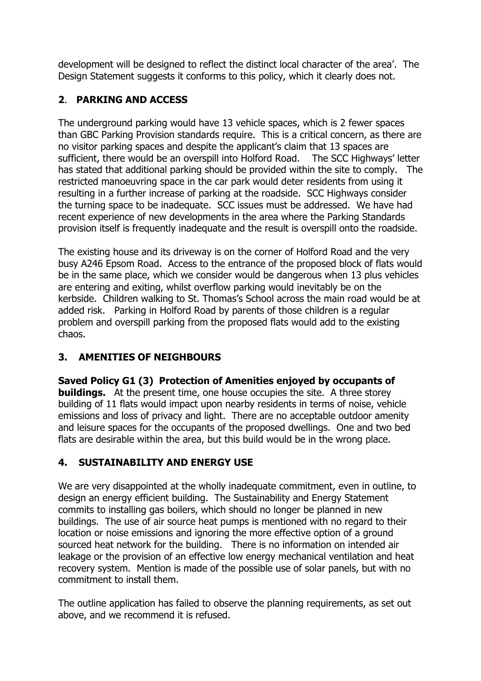development will be designed to reflect the distinct local character of the area'. The Design Statement suggests it conforms to this policy, which it clearly does not.

## **2**. **PARKING AND ACCESS**

The underground parking would have 13 vehicle spaces, which is 2 fewer spaces than GBC Parking Provision standards require. This is a critical concern, as there are no visitor parking spaces and despite the applicant's claim that 13 spaces are sufficient, there would be an overspill into Holford Road. The SCC Highways' letter has stated that additional parking should be provided within the site to comply. The restricted manoeuvring space in the car park would deter residents from using it resulting in a further increase of parking at the roadside. SCC Highways consider the turning space to be inadequate. SCC issues must be addressed. We have had recent experience of new developments in the area where the Parking Standards provision itself is frequently inadequate and the result is overspill onto the roadside.

The existing house and its driveway is on the corner of Holford Road and the very busy A246 Epsom Road. Access to the entrance of the proposed block of flats would be in the same place, which we consider would be dangerous when 13 plus vehicles are entering and exiting, whilst overflow parking would inevitably be on the kerbside. Children walking to St. Thomas's School across the main road would be at added risk. Parking in Holford Road by parents of those children is a regular problem and overspill parking from the proposed flats would add to the existing chaos.

# **3. AMENITIES OF NEIGHBOURS**

**Saved Policy G1 (3) Protection of Amenities enjoyed by occupants of buildings.** At the present time, one house occupies the site. A three storey building of 11 flats would impact upon nearby residents in terms of noise, vehicle emissions and loss of privacy and light. There are no acceptable outdoor amenity and leisure spaces for the occupants of the proposed dwellings. One and two bed flats are desirable within the area, but this build would be in the wrong place.

# **4. SUSTAINABILITY AND ENERGY USE**

We are very disappointed at the wholly inadequate commitment, even in outline, to design an energy efficient building. The Sustainability and Energy Statement commits to installing gas boilers, which should no longer be planned in new buildings. The use of air source heat pumps is mentioned with no regard to their location or noise emissions and ignoring the more effective option of a ground sourced heat network for the building. There is no information on intended air leakage or the provision of an effective low energy mechanical ventilation and heat recovery system. Mention is made of the possible use of solar panels, but with no commitment to install them.

The outline application has failed to observe the planning requirements, as set out above, and we recommend it is refused.